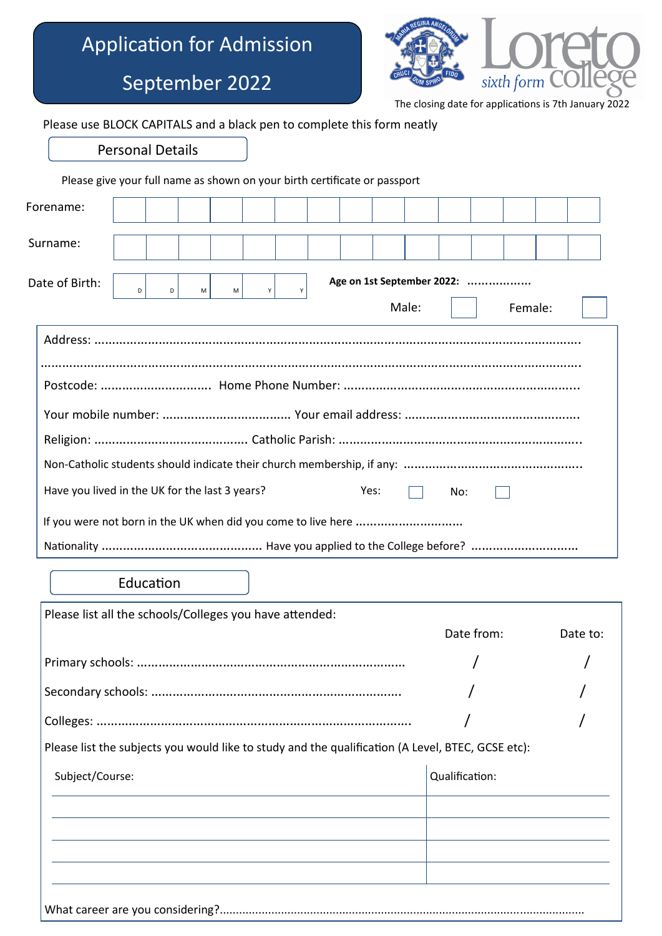## Application for Admission



Date to:

 $\frac{1}{10}$  dications is 7th January 2022

|                                                                                                   |                         |           |   | September 2022 |   |  |      |                                               |                |            |         | sixth form <b>COI</b> |      |
|---------------------------------------------------------------------------------------------------|-------------------------|-----------|---|----------------|---|--|------|-----------------------------------------------|----------------|------------|---------|-----------------------|------|
| Please use BLOCK CAPITALS and a black pen to complete this form neatly                            |                         |           |   |                |   |  |      | The closing date for applications is 7th Janu |                |            |         |                       |      |
|                                                                                                   |                         |           |   |                |   |  |      |                                               |                |            |         |                       |      |
|                                                                                                   | <b>Personal Details</b> |           |   |                |   |  |      |                                               |                |            |         |                       |      |
| Please give your full name as shown on your birth certificate or passport                         |                         |           |   |                |   |  |      |                                               |                |            |         |                       |      |
| Forename:                                                                                         |                         |           |   |                |   |  |      |                                               |                |            |         |                       |      |
| Surname:                                                                                          |                         |           |   |                |   |  |      |                                               |                |            |         |                       |      |
|                                                                                                   |                         |           |   |                |   |  |      |                                               |                |            |         |                       |      |
| Date of Birth:                                                                                    | D                       | D         | M | M              | Y |  |      | Age on 1st September 2022:<br>Male:           |                |            |         |                       |      |
|                                                                                                   |                         |           |   |                |   |  |      |                                               |                |            | Female: |                       |      |
|                                                                                                   |                         |           |   |                |   |  |      |                                               |                |            |         |                       |      |
|                                                                                                   |                         |           |   |                |   |  |      |                                               |                |            |         |                       |      |
|                                                                                                   |                         |           |   |                |   |  |      |                                               |                |            |         |                       |      |
|                                                                                                   |                         |           |   |                |   |  |      |                                               |                |            |         |                       |      |
|                                                                                                   |                         |           |   |                |   |  |      |                                               |                |            |         |                       |      |
|                                                                                                   |                         |           |   |                |   |  |      |                                               |                |            |         |                       |      |
| Have you lived in the UK for the last 3 years?                                                    |                         |           |   |                |   |  | Yes: |                                               | No:            |            |         |                       |      |
| If you were not born in the UK when did you come to live here                                     |                         |           |   |                |   |  |      |                                               |                |            |         |                       |      |
|                                                                                                   |                         |           |   |                |   |  |      |                                               |                |            |         |                       |      |
|                                                                                                   |                         | Education |   |                |   |  |      |                                               |                |            |         |                       |      |
| Please list all the schools/Colleges you have attended:                                           |                         |           |   |                |   |  |      |                                               |                |            |         |                       |      |
|                                                                                                   |                         |           |   |                |   |  |      |                                               |                | Date from: |         |                       | Date |
|                                                                                                   |                         |           |   |                |   |  |      |                                               |                |            |         |                       |      |
|                                                                                                   |                         |           |   |                |   |  |      |                                               |                |            |         |                       |      |
|                                                                                                   |                         |           |   |                |   |  |      |                                               |                |            |         |                       |      |
| Please list the subjects you would like to study and the qualification (A Level, BTEC, GCSE etc): |                         |           |   |                |   |  |      |                                               |                |            |         |                       |      |
| Subject/Course:                                                                                   |                         |           |   |                |   |  |      |                                               | Qualification: |            |         |                       |      |
|                                                                                                   |                         |           |   |                |   |  |      |                                               |                |            |         |                       |      |
|                                                                                                   |                         |           |   |                |   |  |      |                                               |                |            |         |                       |      |
|                                                                                                   |                         |           |   |                |   |  |      |                                               |                |            |         |                       |      |
|                                                                                                   |                         |           |   |                |   |  |      |                                               |                |            |         |                       |      |

What career are you considering?.................................................................................................................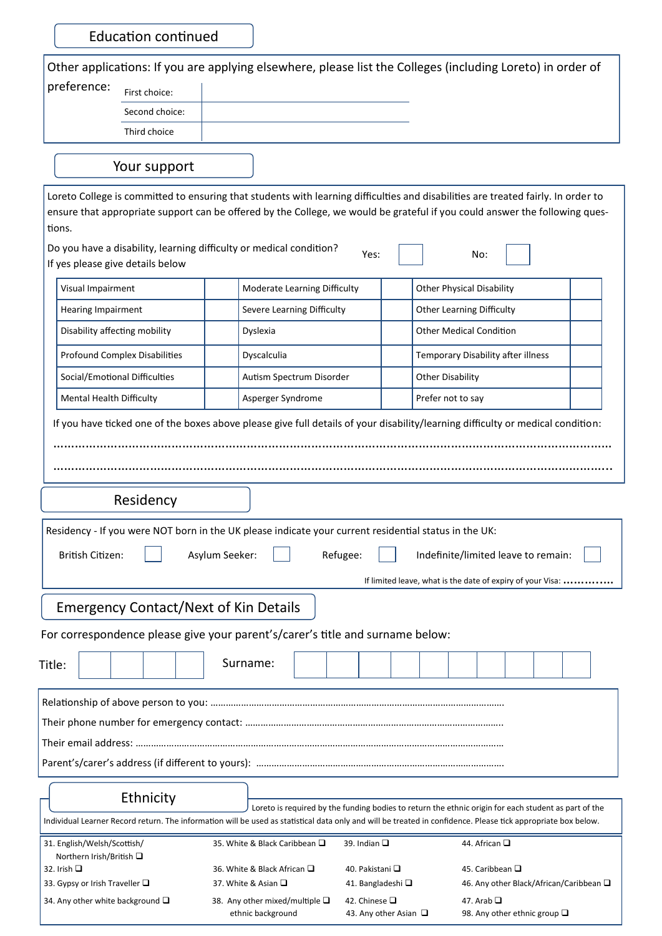Education continued

|                                                                                                         |                                                                                                       | Other applications: If you are applying elsewhere, please list the Colleges (including Loreto) in order of                                                                                                                                                            |
|---------------------------------------------------------------------------------------------------------|-------------------------------------------------------------------------------------------------------|-----------------------------------------------------------------------------------------------------------------------------------------------------------------------------------------------------------------------------------------------------------------------|
| preference:<br>First choice:                                                                            |                                                                                                       |                                                                                                                                                                                                                                                                       |
| Second choice:                                                                                          |                                                                                                       |                                                                                                                                                                                                                                                                       |
| Third choice                                                                                            |                                                                                                       |                                                                                                                                                                                                                                                                       |
|                                                                                                         |                                                                                                       |                                                                                                                                                                                                                                                                       |
| Your support                                                                                            |                                                                                                       |                                                                                                                                                                                                                                                                       |
|                                                                                                         |                                                                                                       | Loreto College is committed to ensuring that students with learning difficulties and disabilities are treated fairly. In order to                                                                                                                                     |
|                                                                                                         |                                                                                                       | ensure that appropriate support can be offered by the College, we would be grateful if you could answer the following ques-                                                                                                                                           |
| tions.                                                                                                  |                                                                                                       |                                                                                                                                                                                                                                                                       |
| Do you have a disability, learning difficulty or medical condition?<br>If yes please give details below | Yes:                                                                                                  | No:                                                                                                                                                                                                                                                                   |
| Visual Impairment                                                                                       | Moderate Learning Difficulty                                                                          | <b>Other Physical Disability</b>                                                                                                                                                                                                                                      |
| Hearing Impairment                                                                                      | Severe Learning Difficulty                                                                            | <b>Other Learning Difficulty</b>                                                                                                                                                                                                                                      |
| Disability affecting mobility                                                                           | Dyslexia                                                                                              | <b>Other Medical Condition</b>                                                                                                                                                                                                                                        |
| <b>Profound Complex Disabilities</b>                                                                    | Dyscalculia                                                                                           | Temporary Disability after illness                                                                                                                                                                                                                                    |
| Social/Emotional Difficulties                                                                           | Autism Spectrum Disorder                                                                              | <b>Other Disability</b>                                                                                                                                                                                                                                               |
| Mental Health Difficulty                                                                                | Asperger Syndrome                                                                                     | Prefer not to say                                                                                                                                                                                                                                                     |
|                                                                                                         |                                                                                                       | If you have ticked one of the boxes above please give full details of your disability/learning difficulty or medical condition:                                                                                                                                       |
|                                                                                                         |                                                                                                       |                                                                                                                                                                                                                                                                       |
|                                                                                                         |                                                                                                       |                                                                                                                                                                                                                                                                       |
|                                                                                                         |                                                                                                       |                                                                                                                                                                                                                                                                       |
| Residency                                                                                               |                                                                                                       |                                                                                                                                                                                                                                                                       |
|                                                                                                         | Residency - If you were NOT born in the UK please indicate your current residential status in the UK: |                                                                                                                                                                                                                                                                       |
| British Citizen:                                                                                        | Asylum Seeker:<br>Refugee:                                                                            | Indefinite/limited leave to remain:                                                                                                                                                                                                                                   |
|                                                                                                         |                                                                                                       |                                                                                                                                                                                                                                                                       |
|                                                                                                         |                                                                                                       | If limited leave, what is the date of expiry of your Visa:                                                                                                                                                                                                            |
| <b>Emergency Contact/Next of Kin Details</b>                                                            |                                                                                                       |                                                                                                                                                                                                                                                                       |
|                                                                                                         | For correspondence please give your parent's/carer's title and surname below:                         |                                                                                                                                                                                                                                                                       |
|                                                                                                         |                                                                                                       |                                                                                                                                                                                                                                                                       |
| Title:                                                                                                  | Surname:                                                                                              |                                                                                                                                                                                                                                                                       |
|                                                                                                         |                                                                                                       |                                                                                                                                                                                                                                                                       |
|                                                                                                         |                                                                                                       |                                                                                                                                                                                                                                                                       |
|                                                                                                         |                                                                                                       |                                                                                                                                                                                                                                                                       |
|                                                                                                         |                                                                                                       |                                                                                                                                                                                                                                                                       |
|                                                                                                         |                                                                                                       |                                                                                                                                                                                                                                                                       |
| Ethnicity                                                                                               |                                                                                                       |                                                                                                                                                                                                                                                                       |
|                                                                                                         |                                                                                                       | Loreto is required by the funding bodies to return the ethnic origin for each student as part of the<br>Individual Learner Record return. The information will be used as statistical data only and will be treated in confidence. Please tick appropriate box below. |
| 31. English/Welsh/Scottish/                                                                             | 35. White & Black Caribbean □<br>39. Indian $\square$                                                 | 44. African $\square$                                                                                                                                                                                                                                                 |
| Northern Irish/British □<br>32. Irish $\square$                                                         | 36. White & Black African □                                                                           | 40. Pakistani □<br>45. Caribbean □                                                                                                                                                                                                                                    |
| 33. Gypsy or Irish Traveller $\square$                                                                  | 37. White & Asian □                                                                                   | 41. Bangladeshi □<br>46. Any other Black/African/Caribbean $\square$                                                                                                                                                                                                  |
| 34. Any other white background □                                                                        | 42. Chinese □<br>38. Any other mixed/multiple $\square$                                               | 47. Arab $\Box$                                                                                                                                                                                                                                                       |

ethnic background 43. Any other Asian  $\Box$  98. Any other ethnic group  $\Box$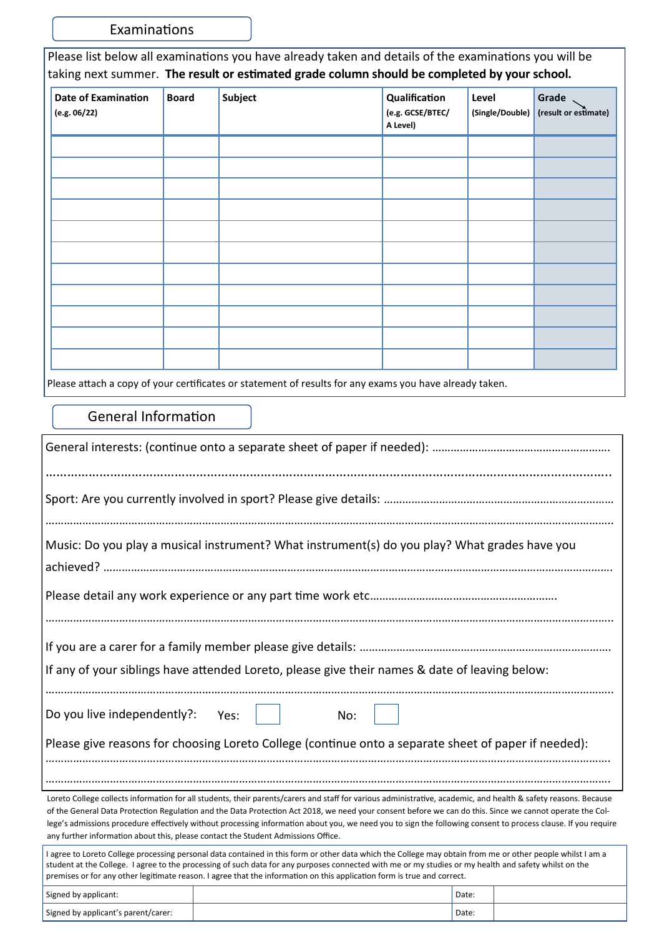Examinations

Please list below all examinations you have already taken and details of the examinations you will be taking next summer. **The result or estimated grade column should be completed by your school.**

| Date of Examination<br>(e.g. 06/22) | <b>Board</b> | Subject | Qualification<br>(e.g. GCSE/BTEC/<br>A Level) | Level<br>(Single/Double) | Grade<br>(result or estimate) |
|-------------------------------------|--------------|---------|-----------------------------------------------|--------------------------|-------------------------------|
|                                     |              |         |                                               |                          |                               |
|                                     |              |         |                                               |                          |                               |
|                                     |              |         |                                               |                          |                               |
|                                     |              |         |                                               |                          |                               |
|                                     |              |         |                                               |                          |                               |
|                                     |              |         |                                               |                          |                               |
|                                     |              |         |                                               |                          |                               |
|                                     |              |         |                                               |                          |                               |
|                                     |              |         |                                               |                          |                               |
|                                     |              |         |                                               |                          |                               |
|                                     |              |         |                                               |                          |                               |

Please attach a copy of your certificates or statement of results for any exams you have already taken.

## General Information

| Music: Do you play a musical instrument? What instrument(s) do you play? What grades have you                                                                                                                                                                                                                                                                                                                                                                                                                                                                                     |      |     |       |  |
|-----------------------------------------------------------------------------------------------------------------------------------------------------------------------------------------------------------------------------------------------------------------------------------------------------------------------------------------------------------------------------------------------------------------------------------------------------------------------------------------------------------------------------------------------------------------------------------|------|-----|-------|--|
|                                                                                                                                                                                                                                                                                                                                                                                                                                                                                                                                                                                   |      |     |       |  |
| If any of your siblings have attended Loreto, please give their names & date of leaving below:                                                                                                                                                                                                                                                                                                                                                                                                                                                                                    |      |     |       |  |
| Do you live independently?:<br>Please give reasons for choosing Loreto College (continue onto a separate sheet of paper if needed):                                                                                                                                                                                                                                                                                                                                                                                                                                               | Yes: | No: |       |  |
|                                                                                                                                                                                                                                                                                                                                                                                                                                                                                                                                                                                   |      |     |       |  |
| Loreto College collects information for all students, their parents/carers and staff for various administrative, academic, and health & safety reasons. Because<br>of the General Data Protection Regulation and the Data Protection Act 2018, we need your consent before we can do this. Since we cannot operate the Col-<br>lege's admissions procedure effectively without processing information about you, we need you to sign the following consent to process clause. If you require<br>any further information about this, please contact the Student Admissions Office. |      |     |       |  |
| I agree to Loreto College processing personal data contained in this form or other data which the College may obtain from me or other people whilst I am a<br>student at the College. I agree to the processing of such data for any purposes connected with me or my studies or my health and safety whilst on the<br>premises or for any other legitimate reason. I agree that the information on this application form is true and correct.                                                                                                                                    |      |     |       |  |
| Signed by applicant:                                                                                                                                                                                                                                                                                                                                                                                                                                                                                                                                                              |      |     | Date: |  |
| Signed by applicant's parent/carer:                                                                                                                                                                                                                                                                                                                                                                                                                                                                                                                                               |      |     | Date: |  |